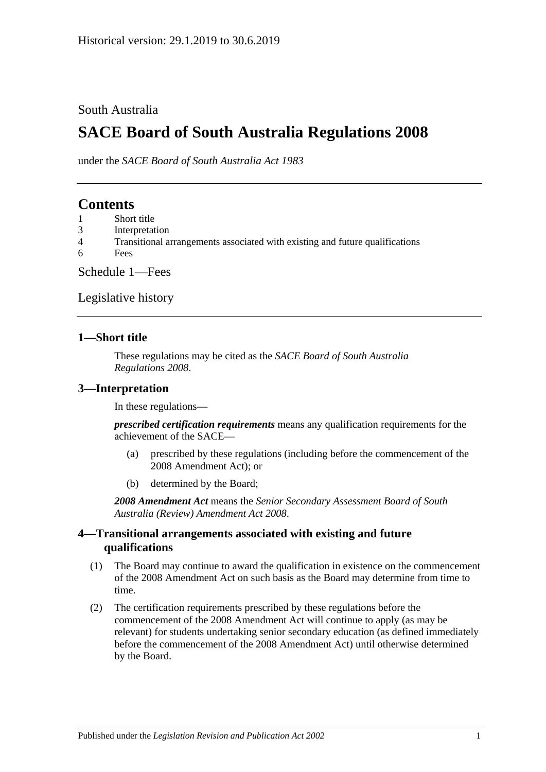### South Australia

# **SACE Board of South Australia Regulations 2008**

under the *SACE Board of South Australia Act 1983*

### **Contents**

- 1 [Short title](#page-0-0)
- 3 [Interpretation](#page-0-1)
- 4 [Transitional arrangements associated with existing and future qualifications](#page-0-2)
- 6 [Fees](#page-1-0)

[Schedule 1—Fees](#page-1-1)

[Legislative history](#page-3-0)

#### <span id="page-0-0"></span>**1—Short title**

These regulations may be cited as the *SACE Board of South Australia Regulations 2008*.

### <span id="page-0-1"></span>**3—Interpretation**

In these regulations—

*prescribed certification requirements* means any qualification requirements for the achievement of the SACE—

- (a) prescribed by these regulations (including before the commencement of the 2008 Amendment Act); or
- (b) determined by the Board;

*2008 Amendment Act* means the *[Senior Secondary Assessment Board of South](http://www.legislation.sa.gov.au/index.aspx?action=legref&type=act&legtitle=Senior%20Secondary%20Assessment%20Board%20of%20South%20Australia%20(Review)%20Amendment%20Act%202008)  [Australia \(Review\) Amendment Act](http://www.legislation.sa.gov.au/index.aspx?action=legref&type=act&legtitle=Senior%20Secondary%20Assessment%20Board%20of%20South%20Australia%20(Review)%20Amendment%20Act%202008) 2008*.

### <span id="page-0-2"></span>**4—Transitional arrangements associated with existing and future qualifications**

- (1) The Board may continue to award the qualification in existence on the commencement of the 2008 Amendment Act on such basis as the Board may determine from time to time.
- (2) The certification requirements prescribed by these regulations before the commencement of the 2008 Amendment Act will continue to apply (as may be relevant) for students undertaking senior secondary education (as defined immediately before the commencement of the 2008 Amendment Act) until otherwise determined by the Board.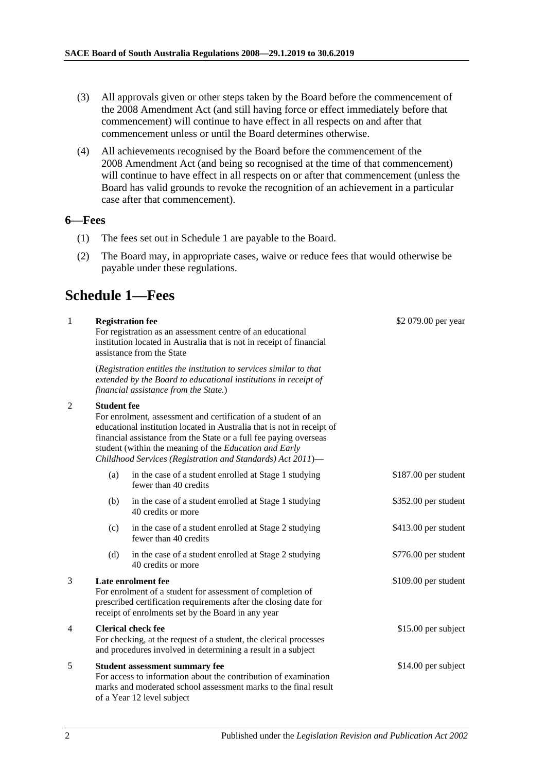- (3) All approvals given or other steps taken by the Board before the commencement of the 2008 Amendment Act (and still having force or effect immediately before that commencement) will continue to have effect in all respects on and after that commencement unless or until the Board determines otherwise.
- (4) All achievements recognised by the Board before the commencement of the 2008 Amendment Act (and being so recognised at the time of that commencement) will continue to have effect in all respects on or after that commencement (unless the Board has valid grounds to revoke the recognition of an achievement in a particular case after that commencement).

#### <span id="page-1-0"></span>**6—Fees**

- (1) The fees set out in Schedule 1 are payable to the Board.
- (2) The Board may, in appropriate cases, waive or reduce fees that would otherwise be payable under these regulations.

# <span id="page-1-1"></span>**Schedule 1—Fees**

| $\mathbf{1}$   |                                                                                                                                                                                                            | <b>Registration fee</b><br>For registration as an assessment centre of an educational<br>institution located in Australia that is not in receipt of financial<br>assistance from the State                                                                                                                                            | \$2 079.00 per year  |
|----------------|------------------------------------------------------------------------------------------------------------------------------------------------------------------------------------------------------------|---------------------------------------------------------------------------------------------------------------------------------------------------------------------------------------------------------------------------------------------------------------------------------------------------------------------------------------|----------------------|
|                |                                                                                                                                                                                                            | (Registration entitles the institution to services similar to that<br>extended by the Board to educational institutions in receipt of<br>financial assistance from the State.)                                                                                                                                                        |                      |
| 2              | <b>Student fee</b>                                                                                                                                                                                         | For enrolment, assessment and certification of a student of an<br>educational institution located in Australia that is not in receipt of<br>financial assistance from the State or a full fee paying overseas<br>student (within the meaning of the Education and Early<br>Childhood Services (Registration and Standards) Act 2011)- |                      |
|                | (a)                                                                                                                                                                                                        | in the case of a student enrolled at Stage 1 studying<br>fewer than 40 credits                                                                                                                                                                                                                                                        | \$187.00 per student |
|                | (b)                                                                                                                                                                                                        | in the case of a student enrolled at Stage 1 studying<br>40 credits or more                                                                                                                                                                                                                                                           | \$352.00 per student |
|                | (c)                                                                                                                                                                                                        | in the case of a student enrolled at Stage 2 studying<br>fewer than 40 credits                                                                                                                                                                                                                                                        | \$413.00 per student |
|                | (d)                                                                                                                                                                                                        | in the case of a student enrolled at Stage 2 studying<br>40 credits or more                                                                                                                                                                                                                                                           | \$776.00 per student |
| 3              | Late enrolment fee<br>For enrolment of a student for assessment of completion of<br>prescribed certification requirements after the closing date for<br>receipt of enrolments set by the Board in any year |                                                                                                                                                                                                                                                                                                                                       | \$109.00 per student |
| $\overline{4}$ | <b>Clerical check fee</b><br>For checking, at the request of a student, the clerical processes<br>and procedures involved in determining a result in a subject                                             |                                                                                                                                                                                                                                                                                                                                       | \$15.00 per subject  |
| 5              | <b>Student assessment summary fee</b><br>For access to information about the contribution of examination<br>marks and moderated school assessment marks to the final result<br>of a Year 12 level subject  |                                                                                                                                                                                                                                                                                                                                       | \$14.00 per subject  |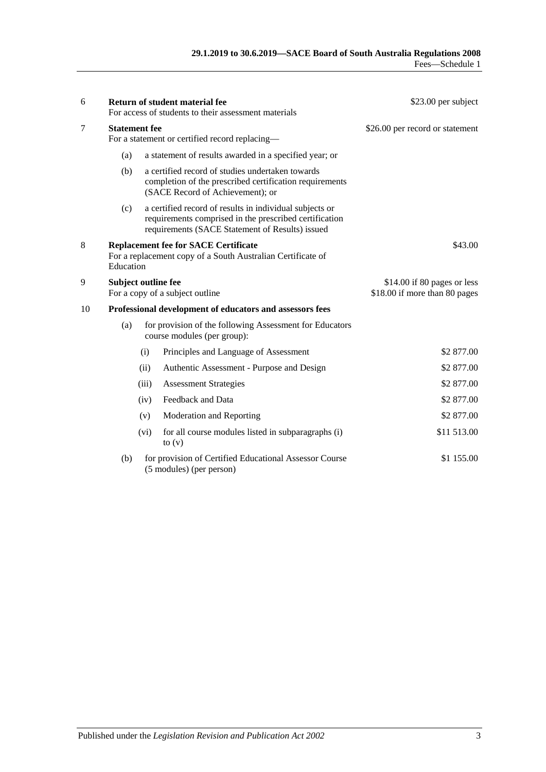| 6  |                                                                        |       | <b>Return of student material fee</b><br>For access of students to their assessment materials                                                                        | \$23.00 per subject                                          |
|----|------------------------------------------------------------------------|-------|----------------------------------------------------------------------------------------------------------------------------------------------------------------------|--------------------------------------------------------------|
| 7  | <b>Statement</b> fee<br>For a statement or certified record replacing- |       |                                                                                                                                                                      | \$26.00 per record or statement                              |
|    | (a)                                                                    |       | a statement of results awarded in a specified year; or                                                                                                               |                                                              |
|    | (b)                                                                    |       | a certified record of studies undertaken towards<br>completion of the prescribed certification requirements<br>(SACE Record of Achievement); or                      |                                                              |
|    | (c)                                                                    |       | a certified record of results in individual subjects or<br>requirements comprised in the prescribed certification<br>requirements (SACE Statement of Results) issued |                                                              |
| 8  | Education                                                              |       | <b>Replacement fee for SACE Certificate</b><br>For a replacement copy of a South Australian Certificate of                                                           | \$43.00                                                      |
| 9  | <b>Subject outline fee</b>                                             |       | For a copy of a subject outline                                                                                                                                      | \$14.00 if 80 pages or less<br>\$18.00 if more than 80 pages |
| 10 | Professional development of educators and assessors fees               |       |                                                                                                                                                                      |                                                              |
|    | (a)                                                                    |       | for provision of the following Assessment for Educators<br>course modules (per group):                                                                               |                                                              |
|    |                                                                        | (i)   | Principles and Language of Assessment                                                                                                                                | \$2 877.00                                                   |
|    |                                                                        | (ii)  | Authentic Assessment - Purpose and Design                                                                                                                            | \$2 877.00                                                   |
|    |                                                                        | (iii) | <b>Assessment Strategies</b>                                                                                                                                         | \$2 877.00                                                   |
|    |                                                                        | (iv)  | Feedback and Data                                                                                                                                                    | \$2 877.00                                                   |
|    |                                                                        | (v)   | Moderation and Reporting                                                                                                                                             | \$2 877.00                                                   |
|    |                                                                        | (vi)  | for all course modules listed in subparagraphs (i)<br>to $(v)$                                                                                                       | \$11 513.00                                                  |
|    | (b)                                                                    |       | for provision of Certified Educational Assessor Course<br>(5 modules) (per person)                                                                                   | \$1 155.00                                                   |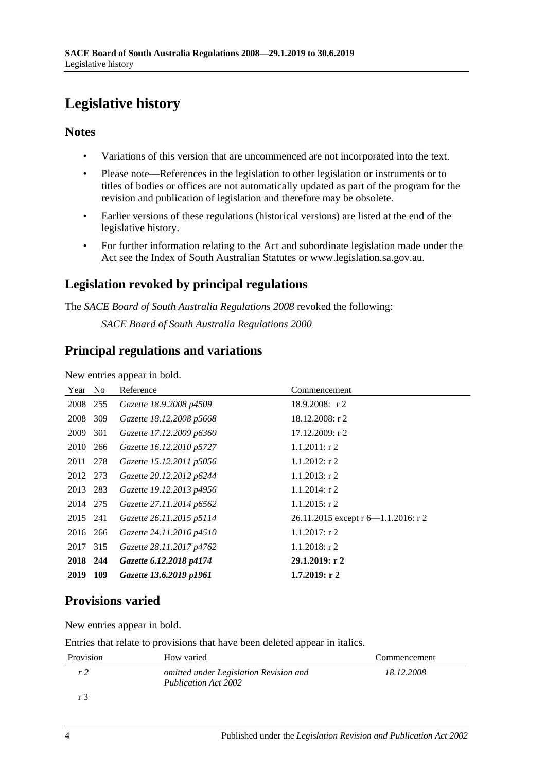# <span id="page-3-0"></span>**Legislative history**

### **Notes**

- Variations of this version that are uncommenced are not incorporated into the text.
- Please note—References in the legislation to other legislation or instruments or to titles of bodies or offices are not automatically updated as part of the program for the revision and publication of legislation and therefore may be obsolete.
- Earlier versions of these regulations (historical versions) are listed at the end of the legislative history.
- For further information relating to the Act and subordinate legislation made under the Act see the Index of South Australian Statutes or www.legislation.sa.gov.au.

### **Legislation revoked by principal regulations**

The *SACE Board of South Australia Regulations 2008* revoked the following:

*SACE Board of South Australia Regulations 2000*

### **Principal regulations and variations**

New entries appear in bold.

| Year No  |     | Reference                | Commencement                            |
|----------|-----|--------------------------|-----------------------------------------|
| 2008 255 |     | Gazette 18.9.2008 p4509  | $18.9.2008$ : r 2                       |
| 2008     | 309 | Gazette 18.12.2008 p5668 | $18.12.2008$ : r 2                      |
| 2009     | 301 | Gazette 17.12.2009 p6360 | $17.12.2009$ : r 2                      |
| 2010     | 266 | Gazette 16.12.2010 p5727 | $1.1.2011:$ r 2                         |
| 2011 278 |     | Gazette 15.12.2011 p5056 | $1.1.2012$ : r 2                        |
| 2012 273 |     | Gazette 20.12.2012 p6244 | $1.1.2013$ : r 2                        |
| 2013 283 |     | Gazette 19.12.2013 p4956 | $1.1.2014$ : r 2                        |
| 2014 275 |     | Gazette 27.11.2014 p6562 | $1.1.2015$ : r 2                        |
| 2015 241 |     | Gazette 26.11.2015 p5114 | 26.11.2015 except $r$ 6—1.1.2016: $r$ 2 |
| 2016 266 |     | Gazette 24.11.2016 p4510 | $1.1.2017$ : r 2                        |
| 2017 315 |     | Gazette 28.11.2017 p4762 | $1.1.2018$ : r 2                        |
| 2018 244 |     | Gazette 6.12.2018 p4174  | 29.1.2019: r2                           |
| 2019     | 109 | Gazette 13.6.2019 p1961  | 1.7.2019: r2                            |

## **Provisions varied**

New entries appear in bold.

Entries that relate to provisions that have been deleted appear in italics.

| Provision | How varied                                                            | Commencement |
|-----------|-----------------------------------------------------------------------|--------------|
| r 2       | omitted under Legislation Revision and<br><b>Publication Act 2002</b> | 18.12.2008   |
| r 3       |                                                                       |              |